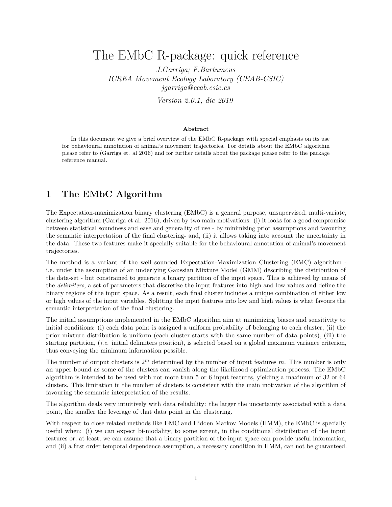# The EMbC R-package: quick reference

*J.Garriga; F.Bartumeus ICREA Movement Ecology Laboratory (CEAB-CSIC) jgarriga@ceab.csic.es*

*Version 2.0.1, dic 2019*

#### **Abstract**

In this document we give a brief overview of the EMbC R-package with special emphasis on its use for behavioural annotation of animal's movement trajectories. For details about the EMbC algorithm please refer to (Garriga et. al 2016) and for further details about the package please refer to the package reference manual.

# **1 The EMbC Algorithm**

The Expectation-maximization binary clustering (EMbC) is a general purpose, unsupervised, multi-variate, clustering algorithm (Garriga et al. 2016), driven by two main motivations: (i) it looks for a good compromise between statistical soundness and ease and generality of use - by minimizing prior assumptions and favouring the semantic interpretation of the final clustering- and, (ii) it allows taking into account the uncertainty in the data. These two features make it specially suitable for the behavioural annotation of animal's movement trajectories.

The method is a variant of the well sounded Expectation-Maximization Clustering (EMC) algorithm i.e. under the assumption of an underlying Gaussian Mixture Model (GMM) describing the distribution of the data-set - but constrained to generate a binary partition of the input space. This is achieved by means of the *delimiters*, a set of parameters that discretize the input features into high and low values and define the binary regions of the input space. As a result, each final cluster includes a unique combination of either low or high values of the input variables. Splitting the input features into low and high values is what favours the semantic interpretation of the final clustering.

The initial assumptions implemented in the EMbC algorithm aim at minimizing biases and sensitivity to initial conditions: (i) each data point is assigned a uniform probability of belonging to each cluster, (ii) the prior mixture distribution is uniform (each cluster starts with the same number of data points), (iii) the starting partition, (*i.e.* initial delimiters position), is selected based on a global maximum variance criterion, thus conveying the minimum information possible.

The number of output clusters is 2*<sup>m</sup>* determined by the number of input features *m*. This number is only an upper bound as some of the clusters can vanish along the likelihood optimization process. The EMbC algorithm is intended to be used with not more than 5 or 6 input features, yielding a maximum of 32 or 64 clusters. This limitation in the number of clusters is consistent with the main motivation of the algorithm of favouring the semantic interpretation of the results.

The algorithm deals very intuitively with data reliability: the larger the uncertainty associated with a data point, the smaller the leverage of that data point in the clustering.

With respect to close related methods like EMC and Hidden Markov Models (HMM), the EMbC is specially useful when: (i) we can expect bi-modality, to some extent, in the conditional distribution of the input features or, at least, we can assume that a binary partition of the input space can provide useful information, and (ii) a first order temporal dependence assumption, a necessary condition in HMM, can not be guaranteed.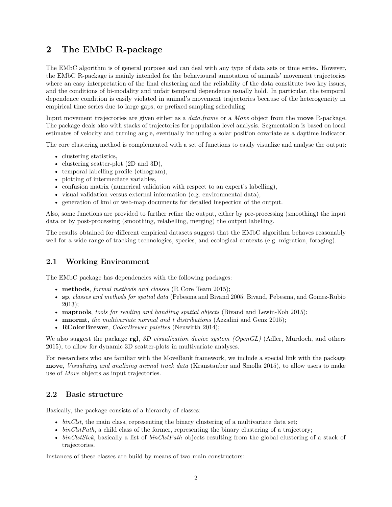# **2 The EMbC R-package**

The EMbC algorithm is of general purpose and can deal with any type of data sets or time series. However, the EMbC R-package is mainly intended for the behavioural annotation of animals' movement trajectories where an easy interpretation of the final clustering and the reliability of the data constitute two key issues, and the conditions of bi-modality and unfair temporal dependence usually hold. In particular, the temporal dependence condition is easily violated in animal's movement trajectories because of the heterogeneity in empirical time series due to large gaps, or prefixed sampling scheduling.

Input movement trajectories are given either as a *data.frame* or a *Move* object from the **move** R-package. The package deals also with stacks of trajectories for population level analysis. Segmentation is based on local estimates of velocity and turning angle, eventually including a solar position covariate as a daytime indicator.

The core clustering method is complemented with a set of functions to easily visualize and analyse the output:

- clustering statistics,
- clustering scatter-plot (2D and 3D),
- temporal labelling profile (ethogram),
- plotting of intermediate variables,
- confusion matrix (numerical validation with respect to an expert's labelling),
- visual validation versus external information (e.g. environmental data),
- generation of kml or web-map documents for detailed inspection of the output.

Also, some functions are provided to further refine the output, either by pre-processing (smoothing) the input data or by post-processing (smoothing, relabelling, merging) the output labelling.

The results obtained for different empirical datasets suggest that the EMbC algorithm behaves reasonably well for a wide range of tracking technologies, species, and ecological contexts (e.g. migration, foraging).

# **2.1 Working Environment**

The EMbC package has dependencies with the following packages:

- **methods**, *formal methods and classes* (R Core Team 2015);
- **sp**, *classes and methods for spatial data* (Pebesma and Bivand 2005; Bivand, Pebesma, and Gomez-Rubio 2013);
- **maptools**, *tools for reading and handling spatial objects* (Bivand and Lewin-Koh 2015);
- **mnormt**, *the multivariate normal and t distributions* (Azzalini and Genz 2015);
- **RColorBrewer**, *ColorBrewer palettes* (Neuwirth 2014);

We also suggest the package **rgl**, *3D visualization device system (OpenGL)* (Adler, Murdoch, and others 2015), to allow for dynamic 3D scatter-plots in multivariate analyses.

For researchers who are familiar with the MoveBank framework, we include a special link with the package **move**, *Visualizing and analizing animal track data* (Kranstauber and Smolla 2015), to allow users to make use of *Move* objects as input trajectories.

# **2.2 Basic structure**

Basically, the package consists of a hierarchy of classes:

- *binClst*, the main class, representing the binary clustering of a multivariate data set;
- *binClstPath*, a child class of the former, representing the binary clustering of a trajectory;
- *binClstStck*, basically a list of *binClstPath* objects resulting from the global clustering of a stack of trajectories.

Instances of these classes are build by means of two main constructors: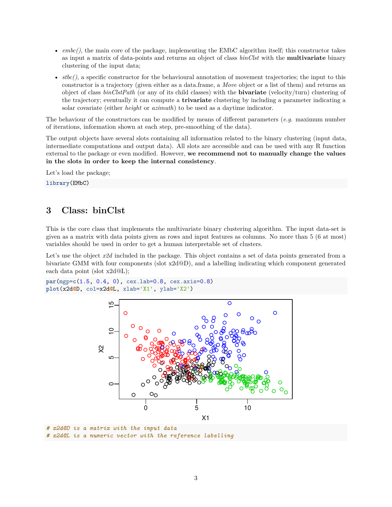- *embc()*, the main core of the package, implementing the EMbC algorithm itself; this constructor takes as input a matrix of data-points and returns an object of class *binClst* with the **multivariate** binary clustering of the input data;
- *stbc()*, a specific constructor for the behavioural annotation of movement trajectories; the input to this constructor is a trajectory (given either as a data.frame, a *Move* object or a list of them) and returns an object of class *binClstPath* (or any of its child classes) with the **bivariate** (velocity/turn) clustering of the trajectory; eventually it can compute a **trivariate** clustering by including a parameter indicating a solar covariate (either *height* or *azimuth*) to be used as a daytime indicator.

The behaviour of the constructors can be modified by means of different parameters (*e.g.* maximum number of iterations, information shown at each step, pre-smoothing of the data).

The output objects have several slots containing all information related to the binary clustering (input data, intermediate computations and output data). All slots are accessible and can be used with any R function external to the package or even modified. However, **we recommend not to manually change the values in the slots in order to keep the internal consistency**.

Let's load the package;

**library**(EMbC)

# **3 Class: binClst**

This is the core class that implements the multivariate binary clustering algorithm. The input data-set is given as a matrix with data points given as rows and input features as columns. No more than 5 (6 at most) variables should be used in order to get a human interpretable set of clusters.

Let's use the object  $x2d$  included in the package. This object contains a set of data points generated from a bivariate GMM with four components (slot x2d@D), and a labelling indicating which component generated each data point (slot x2d@L);

```
par(mgp=c(1.5, 0.4, 0), cex.lab=0.8, cex.axis=0.8)
plot(x2d@D, col=x2d@L, xlab='X1', ylab='X2')
```


*# x2d@D is a matrix with the input data # x2d@L is a numeric vector with the reference labelling*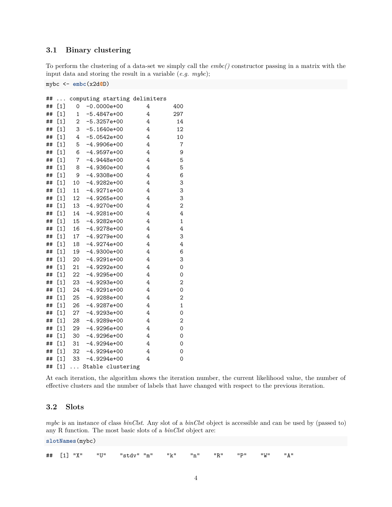# **3.1 Binary clustering**

To perform the clustering of a data-set we simply call the *embc()* constructor passing in a matrix with the input data and storing the result in a variable (*e.g. mybc*);

mybc <- **embc**(x2d**@**D)

| ## | .     |                | computing starting delimiters |   |                  |
|----|-------|----------------|-------------------------------|---|------------------|
| ## | [1]   | 0              | $-0.0000e+00$                 | 4 | 400              |
| ## | [1]   | $\mathbf{1}$   | $-5.4847e+00$                 | 4 | 297              |
| ## | [1]   | 2              | $-5.3257e+00$                 | 4 | 14               |
| ## | [1]   | 3              | $-5.1640e+00$                 | 4 | 12               |
| ## | $[1]$ | 4              | $-5.0542e+00$                 | 4 | 10               |
| ## | [1]   | 5              | $-4.9906e+00$                 | 4 | $\boldsymbol{7}$ |
| ## | [1]   | 6              | $-4.9597e+00$                 | 4 | 9                |
| ## | [1]   | $\overline{7}$ | $-4.9448e+00$                 | 4 | 5                |
| ## | [1]   | 8              | $-4.9360e+00$                 | 4 | 5                |
| ## | $[1]$ | 9              | $-4.9308e+00$                 | 4 | 6                |
| ## | [1]   | 10             | $-4.9282e+00$                 | 4 | 3                |
| ## | [1]   | 11             | $-4.9271e+00$                 | 4 | 3                |
| ## | [1]   | 12             | $-4.9265e+00$                 | 4 | 3                |
| ## | [1]   | 13             | $-4.9270e+00$                 | 4 | $\overline{2}$   |
| ## | [1]   | 14             | $-4.9281e+00$                 | 4 | 4                |
| ## | [1]   | 15             | $-4.9282e+00$                 | 4 | $\mathbf 1$      |
| ## | [1]   | 16             | $-4.9278e+00$                 | 4 | 4                |
| ## | [1]   | 17             | $-4.9279e+00$                 | 4 | 3                |
| ## | [1]   | 18             | $-4.9274e+00$                 | 4 | 4                |
| ## | [1]   | 19             | $-4.9300e+00$                 | 4 | 6                |
| ## | [1]   | 20             | $-4.9291e+00$                 | 4 | 3                |
| ## | [1]   | 21             | $-4.9292e+00$                 | 4 | 0                |
| ## | [1]   | $22 \,$        | $-4.9295e+00$                 | 4 | 0                |
| ## | [1]   | 23             | $-4.9293e+00$                 | 4 | $\overline{c}$   |
| ## | $[1]$ | 24             | $-4.9291e+00$                 | 4 | 0                |
| ## | [1]   | 25             | $-4.9288e+00$                 | 4 | 2                |
| ## | [1]   | 26             | $-4.9287e+00$                 | 4 | $\mathbf 1$      |
| ## | [1]   | 27             | $-4.9293e+00$                 | 4 | 0                |
| ## | [1]   | 28             | $-4.9289e+00$                 | 4 | 2                |
| ## | [1]   | 29             | $-4.9296e+00$                 | 4 | 0                |
| ## | [1]   | 30             | $-4.9296e+00$                 | 4 | 0                |
| ## | $[1]$ | 31             | $-4.9294e+00$                 | 4 | 0                |
| ## | $[1]$ | 32             | $-4.9294e+00$                 | 4 | 0                |
| ## | $[1]$ | 33             | $-4.9294e+00$                 | 4 | 0                |
| ## | [1]   | $\cdots$       | Stable clustering             |   |                  |

At each iteration, the algorithm shows the iteration number, the current likelihood value, the number of effective clusters and the number of labels that have changed with respect to the previous iteration.

# **3.2 Slots**

*mybc* is an instance of class *binClst*. Any slot of a *binClst* object is accessible and can be used by (passed to) any R function. The most basic slots of a *binClst* object are:

**slotNames**(mybc)

|  |  |  |  |  |  |  |  |  |  | ## [1] "X" "U" "stdv" "m" "k" "n" "R" "P" "W" "A" |  |
|--|--|--|--|--|--|--|--|--|--|---------------------------------------------------|--|
|--|--|--|--|--|--|--|--|--|--|---------------------------------------------------|--|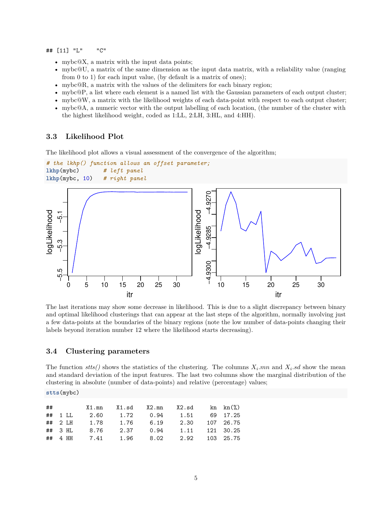## [11] "L" "C"

- mybc@X, a matrix with the input data points;
- mybc@U, a matrix of the same dimension as the input data matrix, with a reliability value (ranging from 0 to 1) for each input value, (by default is a matrix of ones);
- mybc@R, a matrix with the values of the delimiters for each binary region;
- mybc@P, a list where each element is a named list with the Gaussian parameters of each output cluster;
- mybc@W, a matrix with the likelihood weights of each data-point with respect to each output cluster;
- mybc@A, a numeric vector with the output labelling of each location, (the number of the cluster with the highest likelihood weight, coded as 1:LL, 2:LH, 3:HL, and 4:HH).

#### **3.3 Likelihood Plot**

The likelihood plot allows a visual assessment of the convergence of the algorithm;

```
# the lkhp() function allows an offset parameter;
lkhp(mybc) # left panel
lkhp(mybc, 10) # right panel
```


The last iterations may show some decrease in likelihood. This is due to a slight discrepancy between binary and optimal likelihood clusterings that can appear at the last steps of the algorithm, normally involving just a few data-points at the boundaries of the binary regions (note the low number of data-points changing their labels beyond iteration number 12 where the likelihood starts decreasing).

#### **3.4 Clustering parameters**

**stts**(mybc)

The function  $stts()$  shows the statistics of the clustering. The columns  $X_i$  *.mn* and  $X_i$  *.sd* show the mean and standard deviation of the input features. The last two columns show the marginal distribution of the clustering in absolute (number of data-points) and relative (percentage) values;

| ## |             |                                             |  | $X1.mn$ $X1.sd$ $X2.mn$ $X2.sd$ kn $kn\binom{v}{0}$ |  |
|----|-------------|---------------------------------------------|--|-----------------------------------------------------|--|
|    |             | ## 1 LL 2.60 1.72 0.94 1.51 69 17.25        |  |                                                     |  |
|    |             | ## 2 LH  1.78  1.76  6.19  2.30  107  26.75 |  |                                                     |  |
|    | $\#$ # 3 HL |                                             |  | 8.76 2.37 0.94 1.11 121 30.25                       |  |
|    |             | ## 4 HH 7.41 1.96 8.02 2.92 103 25.75       |  |                                                     |  |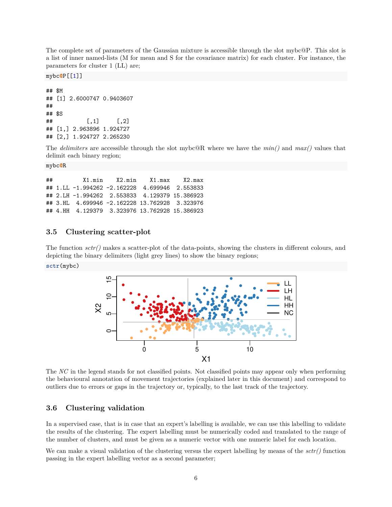The complete set of parameters of the Gaussian mixture is accessible through the slot mybc@P. This slot is a list of inner named-lists (M for mean and S for the covariance matrix) for each cluster. For instance, the parameters for cluster 1 (LL) are;

mybc**@**P[[1]]

```
## $M
## [1] 2.6000747 0.9403607
##
## $S
\sharp # [, 1] [, 2]
## [1,] 2.963896 1.924727
## [2,] 1.924727 2.265230
```
The *delimiters* are accessible through the slot mybc@R where we have the *min()* and *max()* values that delimit each binary region;

```
mybc@R
```
## X1.min X2.min X1.max X2.max ## 1.LL -1.994262 -2.162228 4.699946 2.553833 ## 2.LH -1.994262 2.553833 4.129379 15.386923 ## 3.HL 4.699946 -2.162228 13.762928 3.323976 ## 4.HH 4.129379 3.323976 13.762928 15.386923

# **3.5 Clustering scatter-plot**

The function *sctr()* makes a scatter-plot of the data-points, showing the clusters in different colours, and depicting the binary delimiters (light grey lines) to show the binary regions; **sctr**(mybc)



The *NC* in the legend stands for not classified points. Not classified points may appear only when performing the behavioural annotation of movement trajectories (explained later in this document) and correspond to outliers due to errors or gaps in the trajectory or, typically, to the last track of the trajectory.

# **3.6 Clustering validation**

In a supervised case, that is in case that an expert's labelling is available, we can use this labelling to validate the results of the clustering. The expert labelling must be numerically coded and translated to the range of the number of clusters, and must be given as a numeric vector with one numeric label for each location.

We can make a visual validation of the clustering versus the expert labelling by means of the *sctr()* function passing in the expert labelling vector as a second parameter;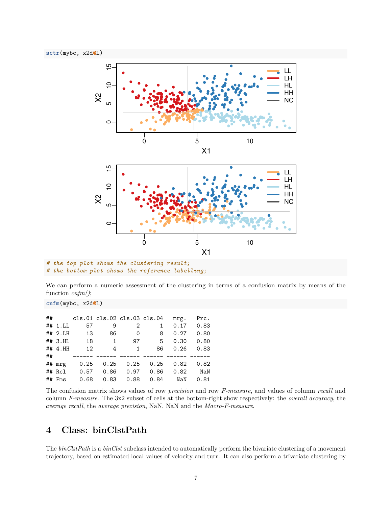

```
# the top plot shows the clustering result;
# the bottom plot shows the reference labelling;
```
We can perform a numeric assessment of the clustering in terms of a confusion matrix by means of the function *cnfm()*;

**cnfm**(mybc, x2d**@**L)

| ## |            |      |      |          | cls.01 cls.02 cls.03 cls.04 | mrg. | Prc. |
|----|------------|------|------|----------|-----------------------------|------|------|
|    | ## 1.LL    | 57   | 9    | 2        | $\mathbf{1}$                | 0.17 | 0.83 |
|    | ## 2.H     | 13   | 86   | $\Omega$ | 8                           | 0.27 | 0.80 |
|    | $##$ 3. HL | 18   | 1    | 97       | 5                           | 0.30 | 0.80 |
|    | $##$ 4. HH | 12   | 4    | 1        | 86                          | 0.26 | 0.83 |
| ## |            |      |      |          |                             |      |      |
|    | ## mrg     | 0.25 | 0.25 | 0.25     | 0.25                        | 0.82 | 0.82 |
|    | $##$ Rcl   | 0.57 | 0.86 | 0.97     | 0.86                        | 0.82 | NaN  |
|    | $##$ Fms   | 0.68 | 0.83 | 0.88     | 0.84                        | NaN  | 0.81 |

The confusion matrix shows values of row *precision* and row *F-measure*, and values of column *recall* and column *F-measure*. The 3x2 subset of cells at the bottom-right show respectively: the *overall accuracy*, the *average recall*, the *average precision*, NaN, NaN and the *Macro-F-measure*.

# **4 Class: binClstPath**

The *binClstPath* is a *binClst* subclass intended to automatically perform the bivariate clustering of a movement trajectory, based on estimated local values of velocity and turn. It can also perform a trivariate clustering by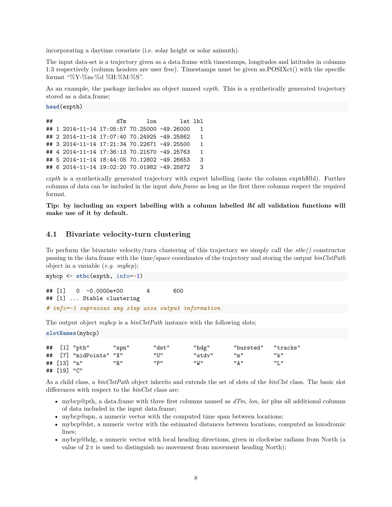incorporating a daytime covariate (i.e. solar height or solar azimuth).

The input data-set is a trajectory given as a data.frame with timestamps, longitudes and latitudes in columns 1:3 respectively (column headers are user free). Timestamps must be given as.POSIXct() with the specific format "%Y-%m-%d %H:%M:%S".

As an example, the package includes an object named *expth*. This is a synthetically generated trajectory stored as a data.frame;

**head**(expth)

**slotNames**(mybcp)

```
## dTm lon lat lbl
## 1 2014-11-14 17:05:57 70.25000 -49.26000 1
## 2 2014-11-14 17:07:40 70.24925 -49.25862 1
## 3 2014-11-14 17:21:34 70.22671 -49.25500 1
## 4 2014-11-14 17:36:13 70.21570 -49.25763 1
## 5 2014-11-14 18:44:05 70.12802 -49.26653 3
## 6 2014-11-14 19:02:20 70.01982 -49.25872 3
```
*expth* is a synthetically generated trajectory with expert labelling (note the column expth\$lbl). Further columns of data can be included in the input *data.frame* as long as the first three columns respect the required format.

**Tip: by including an expert labelling with a column labelled** *lbl* **all validation functions will make use of it by default.**

## **4.1 Bivariate velocity-turn clustering**

To perform the bivariate velocity/turn clustering of this trajectory we simply call the *stbc()* constructor passing in the data.frame with the time/space coordinates of the trajectory and storing the output *binClstPath* object in a variable (*e.g. mybcp*);

```
mybcp <- stbc(expth, info=-1)
## [1] 0 -0.0000e+00 4 600
## [1] ... Stable clustering
# info=-1 supresses any step wise output information
```
The output object *mybcp* is a *binClstPath* instance with the following slots;

|             | .                      |       |        |        |           |          |
|-------------|------------------------|-------|--------|--------|-----------|----------|
|             |                        |       |        |        |           |          |
|             | ## [1] "pth"           | "spn" | "dst"  | "hdg"  | "bursted" | "tracks" |
|             | ## [7] "midPoints" "X" |       | "U"    | "stdv" | "m"       | "k"      |
| ## [13] "n" |                        | "R"   | יים יי | "W"    | " A "     | "L"      |
| ## [19] "C" |                        |       |        |        |           |          |

As a child class, a *binClstPath* object inherits and extends the set of slots of the *binClst* class. The basic slot differences with respect to the *binClst* class are:

- mybcp@pth, a data.frame with three first columns named as *dTm*, *lon*, *lat* plus all additional columns of data included in the input data.frame;
- mybcp@spn, a numeric vector with the computed time span between locations;
- mybcp@dst, a numeric vector with the estimated distances between locations, computed as loxodromic lines;
- mybcp@hdg, a numeric vector with local heading directions, given in clockwise radians from North (a value of  $2\pi$  is used to distinguish no movement from movement heading North);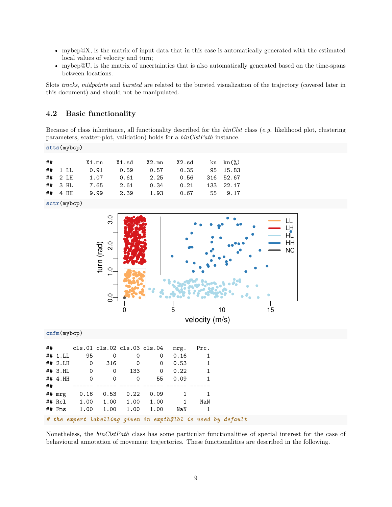- mybcp@X, is the matrix of input data that in this case is automatically generated with the estimated local values of velocity and turn;
- mybcp@U, is the matrix of uncertainties that is also automatically generated based on the time-spans between locations.

Slots *tracks*, *midpoints* and *bursted* are related to the bursted visualization of the trajectory (covered later in this document) and should not be manipulated.

### **4.2 Basic functionality**

Because of class inheritance, all functionality described for the *binClst* class (*e.g.* likelihood plot, clustering parameters, scatter-plot, validation) holds for a *binClstPath* instance.

**stts**(mybcp)

| ##          |  |      | X1.mn X1.sd X2.mn X2.sd            |                | $\text{kn}$ $\text{kn}$ $\binom{9}{6}$ |
|-------------|--|------|------------------------------------|----------------|----------------------------------------|
| $##$ 1 LL   |  |      |                                    |                | 95 15.83                               |
| $##$ 2 LH   |  |      | 1.07  0.61  2.25  0.56  316  52.67 |                |                                        |
| $##$ 3 HL   |  |      | 7.65 2.61 0.34 0.21 133 22.17      |                |                                        |
| $\#$ # 4 HH |  | 9.99 |                                    | 2.39 1.93 0.67 | 55 9.17                                |

**sctr**(mybcp)



**cnfm**(mybcp)

| ## |         |          |          | cls.01 cls.02 cls.03 cls.04 |      | mrg. | Prc. |  |
|----|---------|----------|----------|-----------------------------|------|------|------|--|
|    | ## 1.LL | 95       | 0        | 0                           | 0    | 0.16 |      |  |
|    | ## 2.H  | 0        | 316      | 0                           | 0    | 0.53 | 1    |  |
|    | ## 3.HL | 0        | 0        | 133                         | 0    | 0.22 | 1    |  |
|    | ##4.HH  | $\Omega$ | $\Omega$ | 0                           | 55   | 0.09 |      |  |
| ## |         |          |          |                             |      |      |      |  |
|    | ## mrg  | 0.16     | 0.53     | 0.22                        | 0.09 |      |      |  |
|    | ## Rcl  | 1.00     | 1.00     | 1.00                        | 1.00 | 1    | NaN  |  |
|    | ## Fms  | 1.00     | 1.00     | 1.00                        | 1.00 | NaN  |      |  |

*# the expert labelling given in expth\$lbl is used by default*

Nonetheless, the *binClstPath* class has some particular functionalities of special interest for the case of behavioural annotation of movement trajectories. These functionalities are described in the following.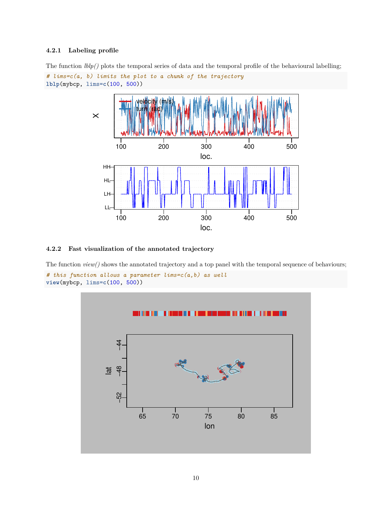#### **4.2.1 Labeling profile**





### **4.2.2 Fast visualization of the annotated trajectory**

The function *view()* shows the annotated trajectory and a top panel with the temporal sequence of behaviours;

```
# this function allows a parameter lims=c(a,b) as well
view(mybcp, lims=c(100, 500))
```
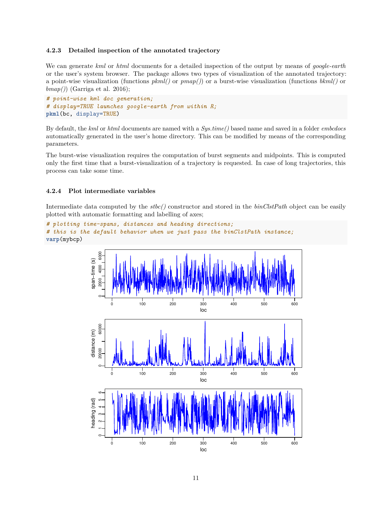#### **4.2.3 Detailed inspection of the annotated trajectory**

We can generate *kml* or *html* documents for a detailed inspection of the output by means of *google-earth* or the user's system browser. The package allows two types of visualization of the annotated trajectory: a point-wise visualization (functions *pkml()* or *pmap()*) or a burst-wise visualization (functions *bkml()* or *bmap()*) (Garriga et al. 2016);

```
# point-wise kml doc generation;
# display=TRUE launches google-earth from within R;
pkml(bc, display=TRUE)
```
By default, the *kml* or *html* documents are named with a *Sys.time()* based name and saved in a folder *embcdocs* automatically generated in the user's home directory. This can be modified by means of the corresponding parameters.

The burst-wise visualization requires the computation of burst segments and midpoints. This is computed only the first time that a burst-visualization of a trajectory is requested. In case of long trajectories, this process can take some time.

#### **4.2.4 Plot intermediate variables**

Intermediate data computed by the *stbc()* constructor and stored in the *binClstPath* object can be easily plotted with automatic formatting and labelling of axes;

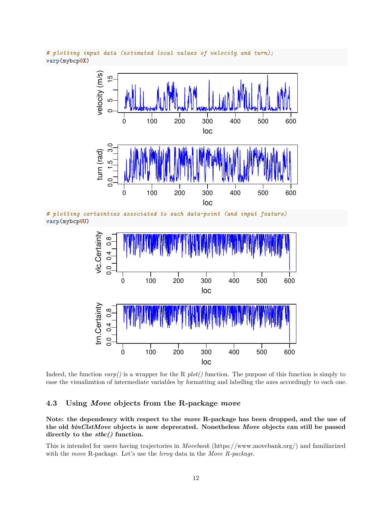

*# plotting input data (estimated local values of velocity and turn);* **varp**(mybcp**@**X)

*# plotting certainties associated to each data-point (and input feature)* **varp**(mybcp**@**U)



Indeed, the function *varp()* is a wrapper for the R *plot()* function. The purpose of this function is simply to ease the visualization of intermediate variables by formatting and labelling the axes accordingly to each one.

# **4.3 Using** *Move* **objects from the R-package** *move*

**Note: the dependency with respect to the** *move* **R-package has been dropped, and the use of the old** *binClstMove* **objects is now deprecated. Nonetheless** *Move* **objects can still be passed directly to the** *stbc()* **function.**

This is intended for users having trajectories in *Movebank* (https://www.movebank.org/) and familiarized with the *move* R-package. Let's use the *leroy* data in the *Move R-package*.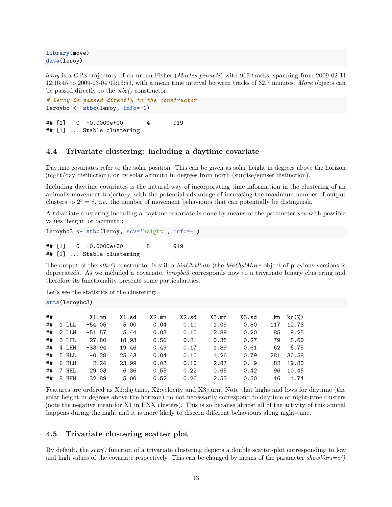**library**(move) **data**(leroy)

*leroy* is a GPS trajectory of an urban Fisher (*Martes pennati*) with 919 tracks, spanning from 2009-02-11 12:16:45 to 2009-03-04 09:16:59, with a mean time interval between tracks of 32.7 minutes. *Move* objects can be passed directly to the *stbc()* constructor;

```
# leroy is passed directly to the constructor
leroybc <- stbc(leroy, info=-1)
```
## [1] 0 -0.0000e+00 4 919 ## [1] ... Stable clustering

# **4.4 Trivariate clustering: including a daytime covariate**

Daytime covariates refer to the solar position. This can be given as solar height in degrees above the horizon (night/day distinction), or by solar azimuth in degrees from north (sunrise/sunset distinction).

Including daytime covariates is the natural way of incorporating time information in the clustering of an animal's movement trajectory, with the potential advantage of increasing the maximum number of output clusters to  $2^3 = 8$ , *i.e.* the number of movement behaviours that can potentially be distinguish.

A trivariate clustering including a daytime covariate is done by means of the parameter *scv* with possible values 'height' or 'azimuth';

```
leroybc3 <- stbc(leroy, scv='height', info=-1)
```
## [1] 0 -0.0000e+00 8 919 ## [1] ... Stable clustering

The output of the *stbc()* constructor is still a *binClstPath* (the *binClstMove* object of previous versions is deprecated). As we included a covariate, *leroybc3* corresponds now to a trivariate binary clustering and therefore its functionality presents some particularities.

Let's see the statistics of the clustering;

**stts**(leroybc3)

| ## |       | X1.mn    | $X1$ .sd | X2.mn | X2.sd | X3.mn | X3.sd | kn  | $kn(\%)$ |
|----|-------|----------|----------|-------|-------|-------|-------|-----|----------|
| ## | 1 LLL | $-54.05$ | 5.00     | 0.04  | 0.10  | 1.09  | 0.80  | 117 | 12.73    |
| ## | 2 LLH | $-51.57$ | 5.44     | 0.03  | 0.10  | 2.89  | 0.20  | 85  | 9.25     |
| ## | 3 LHL | $-27.80$ | 18.93    | 0.56  | 0.21  | 0.38  | 0.27  | 79  | 8.60     |
| ## | 4 LHH | $-33.94$ | 19.46    | 0.49  | 0.17  | 1.89  | 0.61  | 62  | 6.75     |
| ## | 5 HLL | $-0.28$  | 25.43    | 0.04  | 0.10  | 1.26  | 0.79  | 281 | 30.58    |
| ## | 6 HLH | 2.24     | 23.99    | 0.03  | 0.10  | 2.87  | 0.19  | 182 | 19.80    |
| ## | 7 HHL | 29.03    | 6.36     | 0.55  | 0.22  | 0.65  | 0.42  | 96  | 10.45    |
| ## | 8 HHH | 32.89    | 5.00     | 0.52  | 0.26  | 2.53  | 0.50  | 16  | 1.74     |

Features are ordered as X1:daytime, X2:velocity and X3:turn. Note that highs and lows for daytime (the solar height in degrees above the horizon) do not necessarily correspond to daytime or night-time clusters (note the negative mean for X1 in HXX clusters). This is so because almost all of the activity of this animal happens during the night and it is more likely to discern different behaviours along night-time.

### **4.5 Trivariate clustering scatter plot**

By default, the *sctr()* function of a trivariate clustering depicts a double scatter-plot corresponding to low and high values of the covariate respectively. This can be changed by means of the parameter *showVars=c()*.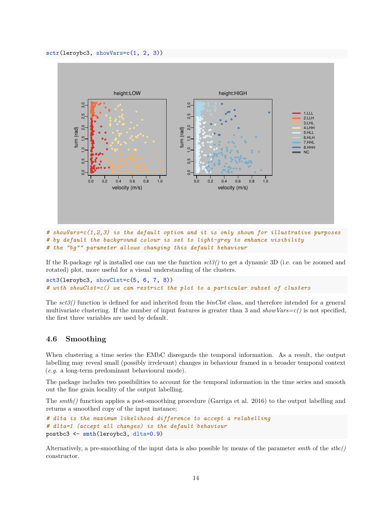

*# showVars=c(1,2,3) is the default option and it is only shown for illustrative purposes # by default the background colour is set to light-grey to enhance visibility # the "bg"" parameter allows changing this default behaviour*

If the R-package *rgl* is installed one can use the function *sct3()* to get a dynamic 3D (i.e. can be zoomed and rotated) plot, more useful for a visual understanding of the clusters.

```
sct3(leroybc3, showClst=c(5, 6, 7, 8))
# with showClst=c() we can restrict the plot to a particular subset of clusters
```
The *sct3()* function is defined for and inherited from the *binClst* class, and therefore intended for a general multivariate clustering. If the number of input features is greater than 3 and  $showVars=c()$  is not specified, the first three variables are used by default.

### **4.6 Smoothing**

When clustering a time series the EMbC disregards the temporal information. As a result, the output labelling may reveal small (possibly irrelevant) changes in behaviour framed in a broader temporal context (*e.g.* a long-term predominant behavioural mode).

The package includes two possibilities to account for the temporal information in the time series and smooth out the fine grain locality of the output labelling.

The *smth()* function applies a post-smoothing procedure (Garriga et al. 2016) to the output labelling and returns a smoothed copy of the input instance;

```
# dlta is the maximum likelihood difference to accept a relabelling
# dlta=1 (accept all changes) is the default behaviour
postbc3 <- smth(leroybc3, dlta=0.9)
```
Alternatively, a pre-smoothing of the input data is also possible by means of the parameter *smth* of the *stbc()* constructor.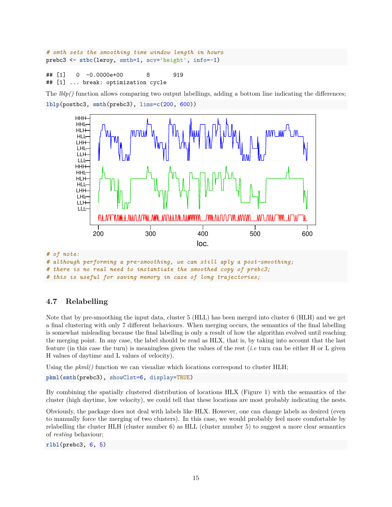```
# smth sets the smoothing time window length in hours
prebc3 <- stbc(leroy, smth=1, scv='height', info=-1)
```
#### ## [1] 0 -0.0000e+00 8 919 ## [1] ... break: optimization cycle

The *lblp()* function allows comparing two output labellings, adding a bottom line indicating the differences; **lblp**(postbc3, **smth**(prebc3), lims=**c**(200, 600))



# **4.7 Relabelling**

Note that by pre-smoothing the input data, cluster 5 (HLL) has been merged into cluster 6 (HLH) and we get a final clustering with only 7 different behaviours. When merging occurs, the semantics of the final labelling is somewhat misleading because the final labelling is only a result of how the algorithm evolved until reaching the merging point. In any case, the label should be read as HLX, that is, by taking into account that the last feature (in this case the turn) is meaningless given the values of the rest (*i.e* turn can be either H or L given H values of daytime and L values of velocity).

Using the  $pkml()$  function we can visualize which locations correspond to cluster HLH;

```
pkml(smth(prebc3), showClst=6, display=TRUE)
```
By combining the spatially clustered distribution of locations HLX (Figure 1) with the semantics of the cluster (high daytime, low velocity), we could tell that these locations are most probably indicating the nests.

Obviously, the package does not deal with labels like HLX. However, one can change labels as desired (even to manually force the merging of two clusters). In this case, we would probably feel more comfortable by relabelling the cluster HLH (cluster number 6) as HLL (cluster number 5) to suggest a more clear semantics of *resting* behaviour;

**rlbl**(prebc3, 6, 5)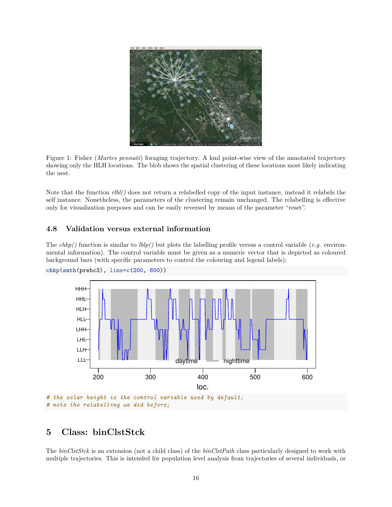

Figure 1: Fisher (*Martes pennati*) foraging trajectory. A kml point-wise view of the annotated trajectory showing only the HLH locations. The blob shows the spatial clustering of these locations most likely indicating the nest.

Note that the function *rlbl()* does not return a relabelled copy of the input instance, instead it relabels the self instance. Nonetheless, the parameters of the clustering remain unchanged. The relabelling is effective only for visualization purposes and can be easily reversed by means of the parameter "reset".

# **4.8 Validation versus external information**

The  $chkp()$  function is similar to  $lblp()$  but plots the labelling profile versus a control variable (*e.g.* environmental information). The control variable must be given as a numeric vector that is depicted as coloured background bars (with specific parameters to control the colouring and legend labels);



```
chkp(smth(prebc3), lims=c(200, 600))
```
*# the solar height is the control variable used by default; # note the relabelling we did before;*

# **5 Class: binClstStck**

The *binClstStck* is an extension (not a child class) of the *binClstPath* class particularly designed to work with multiple trajectories. This is intended for population level analysis from trajectories of several individuals, or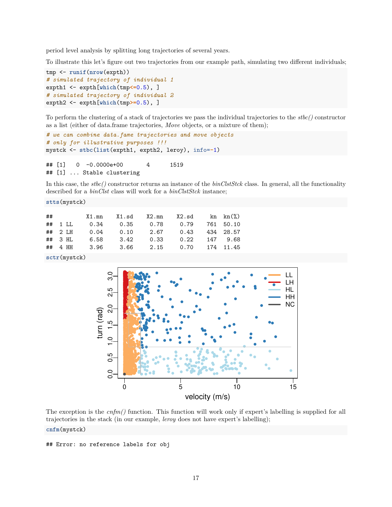period level analysis by splitting long trajectories of several years.

To illustrate this let's figure out two trajectories from our example path, simulating two different individuals;

```
tmp <- runif(nrow(expth))
# simulated trajectory of individual 1
expth1 <- expth[which(tmp<=0.5), ]
# simulated trajectory of individual 2
expth2 <- expth[which(tmp>=0.5), ]
```
To perform the clustering of a stack of trajectories we pass the individual trajectories to the *stbc()* constructor as a list (either of data.frame trajectories, *Move* objects, or a mixture of them);

```
# we can combine data.fame trajectories and move objects
# only for illustrative purposes !!!
mystck <- stbc(list(expth1, expth2, leroy), info=-1)
## [1] 0 -0.0000e+00 4 1519
## [1] ... Stable clustering
```
In this case, the *stbc()* constructor returns an instance of the *binClstStck* class. In general, all the functionality described for a *binClst* class will work for a *binClstStck* instance;

**stts**(mystck)

| ##          |  | $X1.mn$ $X1.sd$ $X2.mn$ $X2.sd$ $kn$ $kn$ $\binom{0}{0}$ |  |  |
|-------------|--|----------------------------------------------------------|--|--|
| ## 1 LL     |  |                                                          |  |  |
|             |  | ## 2 LH  0.04  0.10  2.67  0.43  434  28.57              |  |  |
| $\#$ # 3 HL |  | 6.58 3.42 0.33 0.22 147 9.68                             |  |  |
|             |  | ## 4 HH 3.96 3.66 2.15 0.70 174 11.45                    |  |  |

**sctr**(mystck)



The exception is the *cnfm()* function. This function will work only if expert's labelling is supplied for all trajectories in the stack (in our example, *leroy* does not have expert's labelling); **cnfm**(mystck)

## Error: no reference labels for obj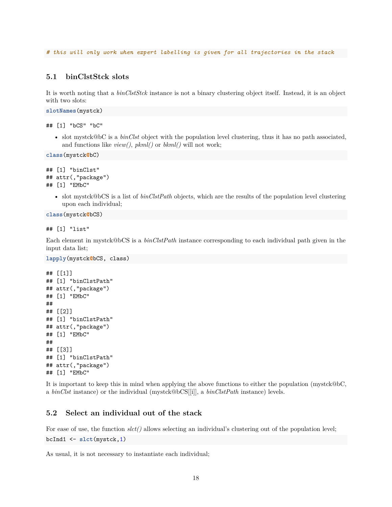*# this will only work when expert labelling is given for all trajectories in the stack*

# **5.1 binClstStck slots**

It is worth noting that a *binClstStck* instance is not a binary clustering object itself. Instead, it is an object with two slots:

**slotNames**(mystck)

## [1] "bCS" "bC"

• slot mystck@bC is a *binClst* object with the population level clustering, thus it has no path associated, and functions like *view()*, *pkml()* or *bkml()* will not work;

```
class(mystck@bC)
```

```
## [1] "binClst"
## attr(,"package")
## [1] "EMbC"
```
• slot mystck@bCS is a list of *binClstPath* objects, which are the results of the population level clustering upon each individual;

```
class(mystck@bCS)
```

```
## [1] "list"
```
Each element in mystck@bCS is a *binClstPath* instance corresponding to each individual path given in the input data list;

```
lapply(mystck@bCS, class)
```

```
## [[1]]
## [1] "binClstPath"
## attr(,"package")
## [1] "EMbC"
##
## [[2]]
## [1] "binClstPath"
## attr(,"package")
## [1] "EMbC"
##
## [[3]]
## [1] "binClstPath"
## attr(,"package")
## [1] "EMbC"
```
It is important to keep this in mind when applying the above functions to either the population (mystck@bC, a *binClst* instance) or the individual (mystck@bCS[[i]], a *binClstPath* instance) levels.

# **5.2 Select an individual out of the stack**

For ease of use, the function  $slet()$  allows selecting an individual's clustering out of the population level;

```
bcInd1 <- slct(mystck,1)
```
As usual, it is not necessary to instantiate each individual;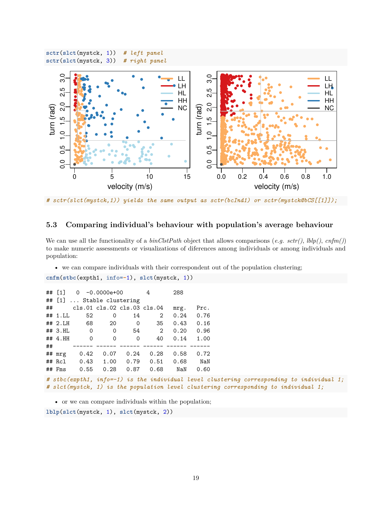

*# sctr(slct(mystck,1)) yields the same output as sctr(bcInd1) or sctr(mystck@bCS[[1]]);*

# **5.3 Comparing individual's behaviour with population's average behaviour**

We can use all the functionality of a *binClstPath* object that allows comparisons (*e.g. sctr()*, *lblp()*, *cnfm()*) to make numeric assessments or visualizations of diferences among individuals or among individuals and population:

• we can compare individuals with their correspondent out of the population clustering;

```
cnfm(stbc(expth1, info=-1), slct(mystck, 1))
```

| ## $\lceil 1 \rceil$      |                                                          | $0 -0.0000e + 00$ |          | 4    | 288  |      |  |  |
|---------------------------|----------------------------------------------------------|-------------------|----------|------|------|------|--|--|
| ## [1]  Stable clustering |                                                          |                   |          |      |      |      |  |  |
| ##                        | cls.01 cls.02 cls.03 cls.04                              |                   |          |      | mrg. | Prc. |  |  |
| ## 1.LL                   | 52                                                       | 0                 | 14       | 2    | 0.24 | 0.76 |  |  |
| ## 2.H                    | 68                                                       | 20                | 0        | 35   | 0.43 | 0.16 |  |  |
| $##$ 3.HL                 | $\mathbf 0$                                              | 0                 | 54       | 2    | 0.20 | 0.96 |  |  |
| ##4.HH                    | 0                                                        | 0                 | $\Omega$ | 40   | 0.14 | 1.00 |  |  |
| ##                        |                                                          |                   |          |      |      |      |  |  |
| ## mrg                    | 0.42                                                     | 0.07              | 0.24     | 0.28 | 0.58 | 0.72 |  |  |
| $##$ Rcl                  | 0.43                                                     | 1.00              | 0.79     | 0.51 | 0.68 | NaN  |  |  |
| $##$ Fms                  | 0.55                                                     | 0.28              | 0.87     | 0.68 | NaN  | 0.60 |  |  |
|                           | # sthe (ernth1 info=-1) is the individual level clusters |                   |          |      |      |      |  |  |

```
el clustering corresponding to individual 1;
# slct(mystck, 1) is the population level clustering corresponding to individual 1;
```
• or we can compare individuals within the population;

**lblp**(**slct**(mystck, 1), **slct**(mystck, 2))